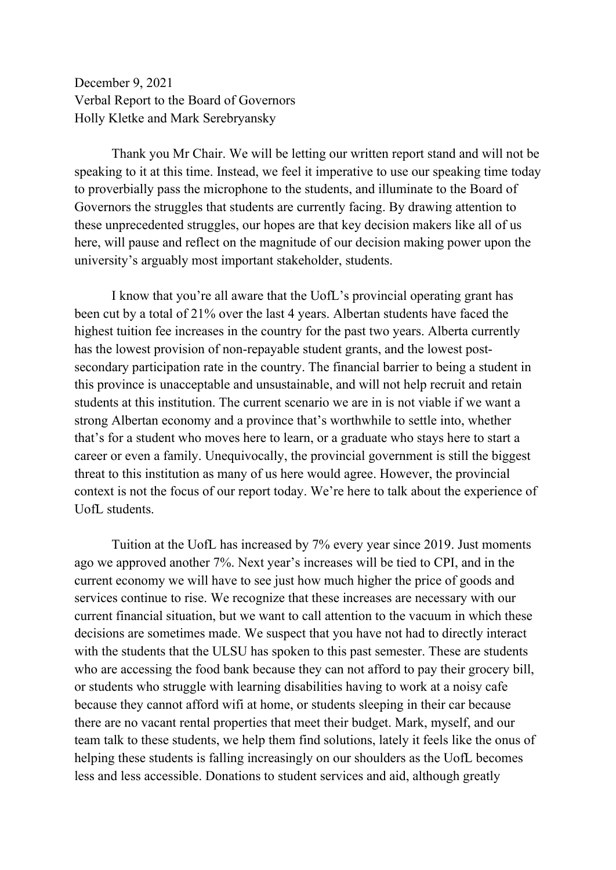December 9, 2021 Verbal Report to the Board of Governors Holly Kletke and Mark Serebryansky

Thank you Mr Chair. We will be letting our written report stand and will not be speaking to it at this time. Instead, we feel it imperative to use our speaking time today to proverbially pass the microphone to the students, and illuminate to the Board of Governors the struggles that students are currently facing. By drawing attention to these unprecedented struggles, our hopes are that key decision makers like all of us here, will pause and reflect on the magnitude of our decision making power upon the university's arguably most important stakeholder, students.

I know that you're all aware that the UofL's provincial operating grant has been cut by a total of 21% over the last 4 years. Albertan students have faced the highest tuition fee increases in the country for the past two years. Alberta currently has the lowest provision of non-repayable student grants, and the lowest postsecondary participation rate in the country. The financial barrier to being a student in this province is unacceptable and unsustainable, and will not help recruit and retain students at this institution. The current scenario we are in is not viable if we want a strong Albertan economy and a province that's worthwhile to settle into, whether that's for a student who moves here to learn, or a graduate who stays here to start a career or even a family. Unequivocally, the provincial government is still the biggest threat to this institution as many of us here would agree. However, the provincial context is not the focus of our report today. We're here to talk about the experience of UofL students.

Tuition at the UofL has increased by 7% every year since 2019. Just moments ago we approved another 7%. Next year's increases will be tied to CPI, and in the current economy we will have to see just how much higher the price of goods and services continue to rise. We recognize that these increases are necessary with our current financial situation, but we want to call attention to the vacuum in which these decisions are sometimes made. We suspect that you have not had to directly interact with the students that the ULSU has spoken to this past semester. These are students who are accessing the food bank because they can not afford to pay their grocery bill, or students who struggle with learning disabilities having to work at a noisy cafe because they cannot afford wifi at home, or students sleeping in their car because there are no vacant rental properties that meet their budget. Mark, myself, and our team talk to these students, we help them find solutions, lately it feels like the onus of helping these students is falling increasingly on our shoulders as the UofL becomes less and less accessible. Donations to student services and aid, although greatly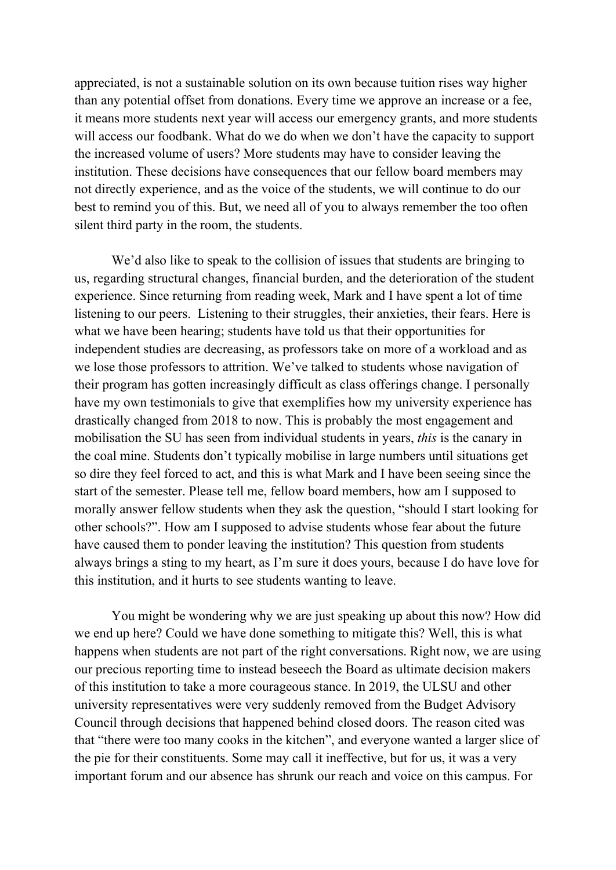appreciated, is not a sustainable solution on its own because tuition rises way higher than any potential offset from donations. Every time we approve an increase or a fee, it means more students next year will access our emergency grants, and more students will access our foodbank. What do we do when we don't have the capacity to support the increased volume of users? More students may have to consider leaving the institution. These decisions have consequences that our fellow board members may not directly experience, and as the voice of the students, we will continue to do our best to remind you of this. But, we need all of you to always remember the too often silent third party in the room, the students.

We'd also like to speak to the collision of issues that students are bringing to us, regarding structural changes, financial burden, and the deterioration of the student experience. Since returning from reading week, Mark and I have spent a lot of time listening to our peers. Listening to their struggles, their anxieties, their fears. Here is what we have been hearing; students have told us that their opportunities for independent studies are decreasing, as professors take on more of a workload and as we lose those professors to attrition. We've talked to students whose navigation of their program has gotten increasingly difficult as class offerings change. I personally have my own testimonials to give that exemplifies how my university experience has drastically changed from 2018 to now. This is probably the most engagement and mobilisation the SU has seen from individual students in years, *this* is the canary in the coal mine. Students don't typically mobilise in large numbers until situations get so dire they feel forced to act, and this is what Mark and I have been seeing since the start of the semester. Please tell me, fellow board members, how am I supposed to morally answer fellow students when they ask the question, "should I start looking for other schools?". How am I supposed to advise students whose fear about the future have caused them to ponder leaving the institution? This question from students always brings a sting to my heart, as I'm sure it does yours, because I do have love for this institution, and it hurts to see students wanting to leave.

You might be wondering why we are just speaking up about this now? How did we end up here? Could we have done something to mitigate this? Well, this is what happens when students are not part of the right conversations. Right now, we are using our precious reporting time to instead beseech the Board as ultimate decision makers of this institution to take a more courageous stance. In 2019, the ULSU and other university representatives were very suddenly removed from the Budget Advisory Council through decisions that happened behind closed doors. The reason cited was that "there were too many cooks in the kitchen", and everyone wanted a larger slice of the pie for their constituents. Some may call it ineffective, but for us, it was a very important forum and our absence has shrunk our reach and voice on this campus. For